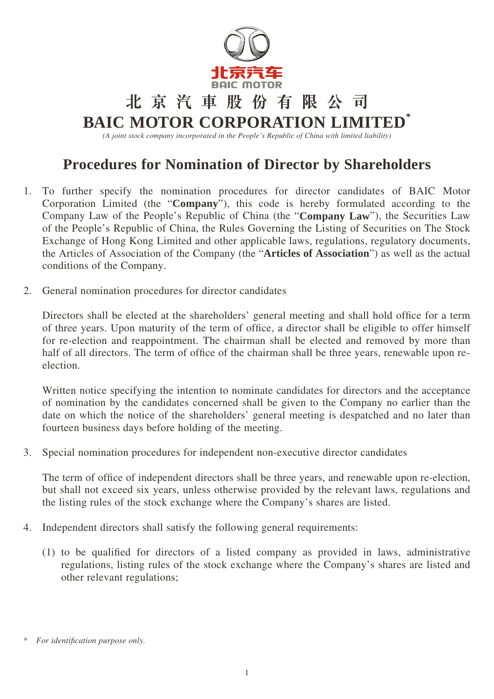

## **北京汽車股份有限公司**

## **BAIC MOTOR CORPORATION LIMITED\***

*(A joint stock company incorporated in the People's Republic of China with limited liability)*

## **Procedures for Nomination of Director by Shareholders**

- 1. To further specify the nomination procedures for director candidates of BAIC Motor Corporation Limited (the "**Company**"), this code is hereby formulated according to the Company Law of the People's Republic of China (the "**Company Law**"), the Securities Law of the People's Republic of China, the Rules Governing the Listing of Securities on The Stock Exchange of Hong Kong Limited and other applicable laws, regulations, regulatory documents, the Articles of Association of the Company (the "**Articles of Association**") as well as the actual conditions of the Company.
- 2. General nomination procedures for director candidates

Directors shall be elected at the shareholders' general meeting and shall hold office for a term of three years. Upon maturity of the term of office, a director shall be eligible to offer himself for re-election and reappointment. The chairman shall be elected and removed by more than half of all directors. The term of office of the chairman shall be three years, renewable upon reelection.

Written notice specifying the intention to nominate candidates for directors and the acceptance of nomination by the candidates concerned shall be given to the Company no earlier than the date on which the notice of the shareholders' general meeting is despatched and no later than fourteen business days before holding of the meeting.

3. Special nomination procedures for independent non-executive director candidates

The term of office of independent directors shall be three years, and renewable upon re-election, but shall not exceed six years, unless otherwise provided by the relevant laws, regulations and the listing rules of the stock exchange where the Company's shares are listed.

- 4. Independent directors shall satisfy the following general requirements:
	- (1) to be qualified for directors of a listed company as provided in laws, administrative regulations, listing rules of the stock exchange where the Company's shares are listed and other relevant regulations;

 $For$  *identification purpose only.*